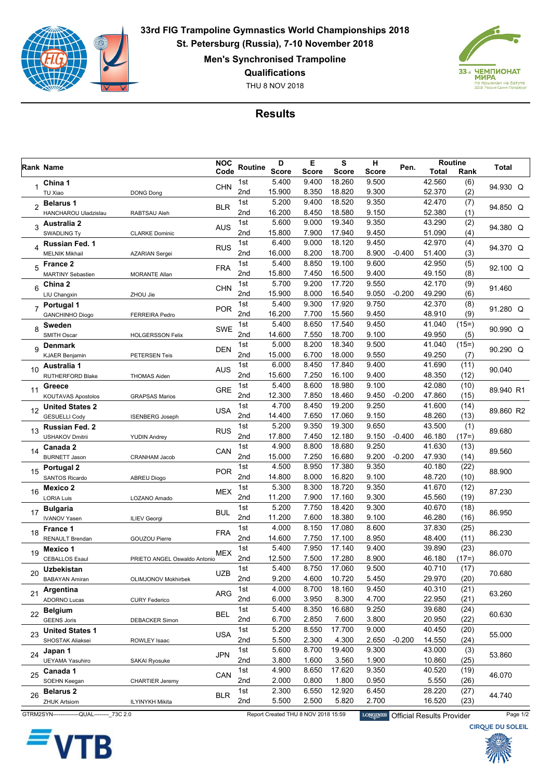

**33rd FIG Trampoline Gymnastics World Championships 2018 St. Petersburg (Russia), 7-10 November 2018**

**Men's Synchronised Trampoline**

**Qualifications**

THU 8 NOV 2018



## **Results**

|                | Rank Name                                                                                                                                             |                              |            | <b>NOC</b><br>D<br>Routine |              | Е     | S            |              | н<br>Pen. |              | Routine | Total                   |
|----------------|-------------------------------------------------------------------------------------------------------------------------------------------------------|------------------------------|------------|----------------------------|--------------|-------|--------------|--------------|-----------|--------------|---------|-------------------------|
|                |                                                                                                                                                       |                              | Code       |                            | <b>Score</b> | Score | <b>Score</b> | <b>Score</b> |           | <b>Total</b> | Rank    |                         |
|                | China 1                                                                                                                                               |                              | <b>CHN</b> | 1st                        | 5.400        | 9.400 | 18.260       | 9.500        |           | 42.560       | (6)     | 94.930 Q                |
|                | TU Xiao                                                                                                                                               | <b>DONG Dong</b>             |            | 2nd                        | 15.900       | 8.350 | 18.820       | 9.300        |           | 52.370       | (2)     |                         |
| $\overline{2}$ | <b>Belarus 1</b>                                                                                                                                      |                              | <b>BLR</b> | 1st                        | 5.200        | 9.400 | 18.520       | 9.350        |           | 42.470       | (7)     | 94.850 Q                |
|                | HANCHAROU Uladzislau                                                                                                                                  | RABTSAU Aleh                 |            | 2nd                        | 16.200       | 8.450 | 18.580       | 9.150        |           | 52.380       | (1)     |                         |
| 3              | <b>Australia 2</b>                                                                                                                                    |                              | <b>AUS</b> | 1st                        | 5.600        | 9.000 | 19.340       | 9.350        |           | 43.290       | (2)     | 94.380 Q                |
|                | <b>SWADLING Ty</b>                                                                                                                                    | <b>CLARKE Dominic</b>        |            | 2 <sub>nd</sub>            | 15.800       | 7.900 | 17.940       | 9.450        |           | 51.090       | (4)     |                         |
| 4              | Russian Fed. 1                                                                                                                                        |                              | <b>RUS</b> | 1st                        | 6.400        | 9.000 | 18.120       | 9.450        |           | 42.970       | (4)     | 94.370 Q                |
|                | <b>MELNIK Mikhail</b>                                                                                                                                 | <b>AZARIAN Sergei</b>        |            | 2nd                        | 16.000       | 8.200 | 18.700       | 8.900        | $-0.400$  | 51.400       | (3)     |                         |
| 5              | <b>France 2</b>                                                                                                                                       |                              | <b>FRA</b> | 1st                        | 5.400        | 8.850 | 19.100       | 9.600        |           | 42.950       | (5)     | 92.100 Q                |
|                | <b>MARTINY Sebastien</b>                                                                                                                              | <b>MORANTE Allan</b>         |            | 2nd                        | 15.800       | 7.450 | 16.500       | 9.400        |           | 49.150       | (8)     |                         |
| 6              | China 2                                                                                                                                               |                              | <b>CHN</b> | 1st                        | 5.700        | 9.200 | 17.720       | 9.550        |           | 42.170       | (9)     | 91.460                  |
|                | LIU Changxin                                                                                                                                          | ZHOU Jie                     |            | 2 <sub>nd</sub>            | 15.900       | 8.000 | 16.540       | 9.050        | $-0.200$  | 49.290       | (6)     |                         |
| $\overline{7}$ | Portugal 1                                                                                                                                            |                              | <b>POR</b> | 1st                        | 5.400        | 9.300 | 17.920       | 9.750        |           | 42.370       | (8)     | 91.280 Q                |
|                | <b>GANCHINHO Diogo</b>                                                                                                                                | <b>FERREIRA Pedro</b>        |            | 2nd                        | 16.200       | 7.700 | 15.560       | 9.450        |           | 48.910       | (9)     |                         |
| 8              | Sweden                                                                                                                                                |                              | <b>SWE</b> | 1st                        | 5.400        | 8.650 | 17.540       | 9.450        |           | 41.040       | $(15=)$ | 90.990 Q                |
|                | <b>SMITH Oscar</b>                                                                                                                                    | <b>HOLGERSSON Felix</b>      |            | 2nd                        | 14.600       | 7.550 | 18.700       | 9.100        |           | 49.950       | (5)     |                         |
| 9              | Denmark                                                                                                                                               |                              | <b>DEN</b> | 1st                        | 5.000        | 8.200 | 18.340       | 9.500        |           | 41.040       | $(15=)$ | 90.290 Q                |
|                | KJAER Benjamin                                                                                                                                        | <b>PETERSEN Teis</b>         |            | 2 <sub>nd</sub>            | 15.000       | 6.700 | 18.000       | 9.550        |           | 49.250       | (7)     |                         |
| 10             | Australia 1                                                                                                                                           |                              | <b>AUS</b> | 1st                        | 6.000        | 8.450 | 17.840       | 9.400        |           | 41.690       | (11)    | 90.040                  |
|                | RUTHERFORD Blake                                                                                                                                      | <b>THOMAS Aiden</b>          |            | 2nd                        | 15.600       | 7.250 | 16.100       | 9.400        |           | 48.350       | (12)    |                         |
| 11             | Greece                                                                                                                                                |                              | <b>GRE</b> | 1st                        | 5.400        | 8.600 | 18.980       | 9.100        |           | 42.080       | (10)    | 89.940 R1               |
|                | KOUTAVAS Apostolos                                                                                                                                    | <b>GRAPSAS Marios</b>        |            | 2nd                        | 12.300       | 7.850 | 18.460       | 9.450        | $-0.200$  | 47.860       | (15)    |                         |
| 12             | <b>United States 2</b>                                                                                                                                |                              | <b>USA</b> | 1st                        | 4.700        | 8.450 | 19.200       | 9.250        |           | 41.600       | (14)    | 89.860 R2               |
|                | <b>GESUELLI Cody</b>                                                                                                                                  | <b>ISENBERG Joseph</b>       |            | 2nd                        | 14.400       | 7.650 | 17.060       | 9.150        |           | 48.260       | (13)    |                         |
| 13             | Russian Fed. 2                                                                                                                                        |                              | <b>RUS</b> | 1st                        | 5.200        | 9.350 | 19.300       | 9.650        |           | 43.500       | (1)     | 89.680                  |
|                | <b>USHAKOV Dmitrii</b>                                                                                                                                | <b>YUDIN Andrey</b>          |            | 2nd                        | 17.800       | 7.450 | 12.180       | 9.150        | $-0.400$  | 46.180       | (17=)   |                         |
| 14             | Canada 2                                                                                                                                              |                              | CAN        | 1st                        | 4.900        | 8.800 | 18.680       | 9.250        |           | 41.630       | (13)    | 89.560                  |
|                | <b>BURNETT Jason</b>                                                                                                                                  | <b>CRANHAM Jacob</b>         |            | 2nd                        | 15.000       | 7.250 | 16.680       | 9.200        | $-0.200$  | 47.930       | (14)    |                         |
| 15             | Portugal 2                                                                                                                                            |                              | <b>POR</b> | 1st                        | 4.500        | 8.950 | 17.380       | 9.350        |           | 40.180       | (22)    | 88.900                  |
|                | <b>SANTOS Ricardo</b>                                                                                                                                 | <b>ABREU Diogo</b>           |            | 2 <sub>nd</sub>            | 14.800       | 8.000 | 16.820       | 9.100        |           | 48.720       | (10)    |                         |
| 16             | Mexico 2                                                                                                                                              |                              | <b>MEX</b> | 1st                        | 5.300        | 8.300 | 18.720       | 9.350        |           | 41.670       | (12)    | 87.230                  |
|                | <b>LORIA Luis</b>                                                                                                                                     | LOZANO Amado                 |            | 2nd                        | 11.200       | 7.900 | 17.160       | 9.300        |           | 45.560       | (19)    |                         |
| 17             | <b>Bulgaria</b>                                                                                                                                       |                              | <b>BUL</b> | 1st                        | 5.200        | 7.750 | 18.420       | 9.300        |           | 40.670       | (18)    | 86.950                  |
|                | <b>IVANOV Yasen</b>                                                                                                                                   | <b>ILIEV Georgi</b>          |            | 2nd                        | 11.200       | 7.600 | 18.380       | 9.100        |           | 46.280       | (16)    |                         |
| 18             | France 1                                                                                                                                              |                              | <b>FRA</b> | 1st                        | 4.000        | 8.150 | 17.080       | 8.600        |           | 37.830       | (25)    | 86.230                  |
|                | <b>RENAULT Brendan</b>                                                                                                                                | <b>GOUZOU Pierre</b>         |            | 2nd                        | 14.600       | 7.750 | 17.100       | 8.950        |           | 48.400       | (11)    |                         |
| 19             | Mexico 1                                                                                                                                              |                              | MEX        | 1st                        | 5.400        | 7.950 | 17.140       | 9.400        |           | 39.890       | (23)    | 86.070                  |
|                | <b>CEBALLOS Esaul</b>                                                                                                                                 | PRIETO ANGEL Oswaldo Antonio |            | 2nd                        | 12.500       | 7.500 | 17.280       | 8.900        |           | 46.180       | (17=)   |                         |
| 20             | Uzbekistan                                                                                                                                            |                              | <b>UZB</b> | 1st                        | 5.400        | 8.750 | 17.060       | 9.500        |           | 40.710       | (17)    | 70.680                  |
|                | <b>BABAYAN Amiran</b>                                                                                                                                 | OLIMJONOV Mokhirbek          |            | 2nd                        | 9.200        | 4.600 | 10.720       | 5.450        |           | 29.970       | (20)    |                         |
| 21             | Argentina                                                                                                                                             |                              | <b>ARG</b> | 1st                        | 4.000        | 8.700 | 18.160       | 9.450        |           | 40.310       | (21)    | 63.260                  |
|                | <b>ADORNO Lucas</b>                                                                                                                                   | <b>CURY Federico</b>         |            | 2nd                        | 6.000        | 3.950 | 8.300        | 4.700        |           | 22.950       | (21)    |                         |
| 22             | <b>Belgium</b>                                                                                                                                        |                              | <b>BEL</b> | 1st                        | 5.400        | 8.350 | 16.680       | 9.250        |           | 39.680       | (24)    | 60.630                  |
|                | <b>GEENS Joris</b>                                                                                                                                    | <b>DEBACKER Simon</b>        |            | 2nd                        | 6.700        | 2.850 | 7.600        | 3.800        |           | 20.950       | (22)    |                         |
| 23             | United States 1                                                                                                                                       |                              | <b>USA</b> | 1st                        | 5.200        | 8.550 | 17.700       | 9.000        |           | 40.450       | (20)    | 55.000                  |
|                | SHOSTAK Aliaksei                                                                                                                                      | ROWLEY Isaac                 |            | 2nd                        | 5.500        | 2.300 | 4.300        | 2.650        | $-0.200$  | 14.550       | (24)    |                         |
| 24             | Japan 1                                                                                                                                               |                              | <b>JPN</b> | 1st                        | 5.600        | 8.700 | 19.400       | 9.300        |           | 43.000       | (3)     | 53.860                  |
|                | <b>UEYAMA Yasuhiro</b>                                                                                                                                | <b>SAKAI Ryosuke</b>         |            | 2nd                        | 3.800        | 1.600 | 3.560        | 1.900        |           | 10.860       | (25)    |                         |
| 25             | Canada 1                                                                                                                                              |                              | CAN        | 1st                        | 4.900        | 8.650 | 17.620       | 9.350        |           | 40.520       | (19)    | 46.070                  |
|                | SOEHN Keegan                                                                                                                                          | <b>CHARTIER Jeremy</b>       |            | 2nd                        | 2.000        | 0.800 | 1.800        | 0.950        |           | 5.550        | (26)    |                         |
| 26             | <b>Belarus 2</b>                                                                                                                                      |                              | <b>BLR</b> | 1st                        | 2.300        | 6.550 | 12.920       | 6.450        |           | 28.220       | (27)    | 44.740                  |
|                | <b>ZHUK Artsiom</b>                                                                                                                                   | ILYINYKH Mikita              |            | 2nd                        | 5.500        | 2.500 | 5.820        | 2.700        |           | 16.520       | (23)    |                         |
|                | GTRM2SYN---------------QUAL-------- 73C 2.0<br>Report Created THU 8 NOV 2018 15:59<br>Page 1/2<br><b>LONGINES</b><br><b>Official Results Provider</b> |                              |            |                            |              |       |              |              |           |              |         |                         |
|                |                                                                                                                                                       |                              |            |                            |              |       |              |              |           |              |         | <b>CIRQUE DU SOLEIL</b> |



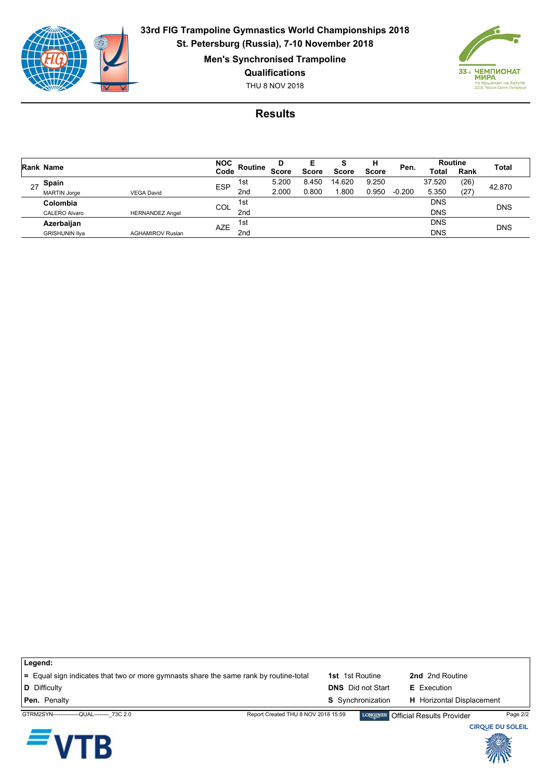

**33rd FIG Trampoline Gymnastics World Championships 2018 St. Petersburg (Russia), 7-10 November 2018**

**Men's Synchronised Trampoline**

**Qualifications**

THU 8 NOV 2018



## **Results**

|    | Rank Name             |                         | <b>NOC</b>        |                 | D            | Е            |              | н            | Pen.     | <b>Routine</b> |        |              |
|----|-----------------------|-------------------------|-------------------|-----------------|--------------|--------------|--------------|--------------|----------|----------------|--------|--------------|
|    |                       |                         |                   | Routine         | <b>Score</b> | <b>Score</b> | <b>Score</b> | <b>Score</b> |          | <b>Total</b>   | Rank   | <b>Total</b> |
| 27 | Spain                 |                         | 1st<br><b>ESP</b> | 5.200           | 8.450        | 14.620       | 9.250        |              | 37.520   | (26)           | 42.870 |              |
|    | <b>MARTIN Jorge</b>   | <b>VEGA David</b>       | 2 <sub>nd</sub>   |                 | 2.000        | 0.800        | .800         | 0.950        | $-0.200$ | 5.350          | (27    |              |
|    | Colombia              |                         | COL               | 1st             |              |              |              |              |          | <b>DNS</b>     |        | <b>DNS</b>   |
|    | <b>CALERO Alvaro</b>  | <b>HERNANDEZ Angel</b>  |                   | 2nd             |              |              |              |              |          | <b>DNS</b>     |        |              |
|    | Azerbaijan            |                         | <b>AZE</b>        | 1st             |              |              |              |              |          | <b>DNS</b>     |        | <b>DNS</b>   |
|    | <b>GRISHUNIN IIya</b> | <b>AGHAMIROV Ruslan</b> |                   | 2 <sub>nd</sub> |              |              |              |              |          | <b>DNS</b>     |        |              |

| ∣ Legend:                                                                             |                                     |                          |                                    |                         |
|---------------------------------------------------------------------------------------|-------------------------------------|--------------------------|------------------------------------|-------------------------|
| = Equal sign indicates that two or more gymnasts share the same rank by routine-total |                                     | <b>1st</b> 1st Routine   | 2nd 2nd Routine                    |                         |
| D Difficulty                                                                          |                                     | <b>DNS</b> Did not Start | <b>E</b> Execution                 |                         |
| <b>Pen.</b> Penalty                                                                   |                                     | <b>S</b> Synchronization | <b>H</b> Horizontal Displacement   |                         |
| GTRM2SYN---------------QUAL-------- 73C 2.0                                           | Report Created THU 8 NOV 2018 15:59 |                          | LONGINES Official Results Provider | Page 2/2                |
|                                                                                       |                                     |                          |                                    | <b>CIRQUE DU SOLEIL</b> |